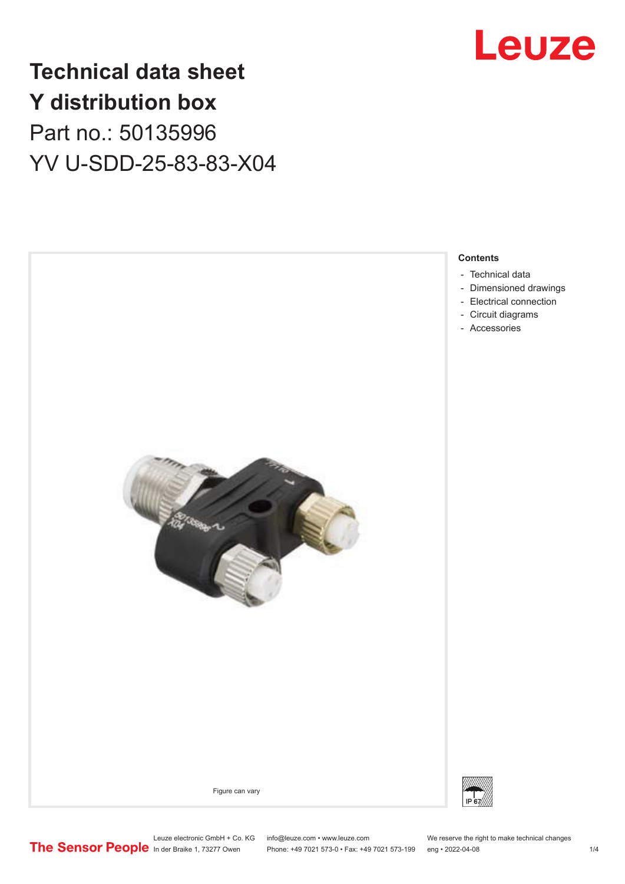

## **Technical data sheet Y distribution box** Part no.: 50135996 YV U-SDD-25-83-83-X04



Phone: +49 7021 573-0 • Fax: +49 7021 573-199 eng • 2022-04-08

Leuze electronic GmbH + Co. KG info@leuze.com • www.leuze.com We reserve the right to make technical changes<br>
The Sensor People in der Braike 1, 73277 Owen Phone: +49 7021 573-0 • Fax: +49 7021 573-199 eng • 2022-04-08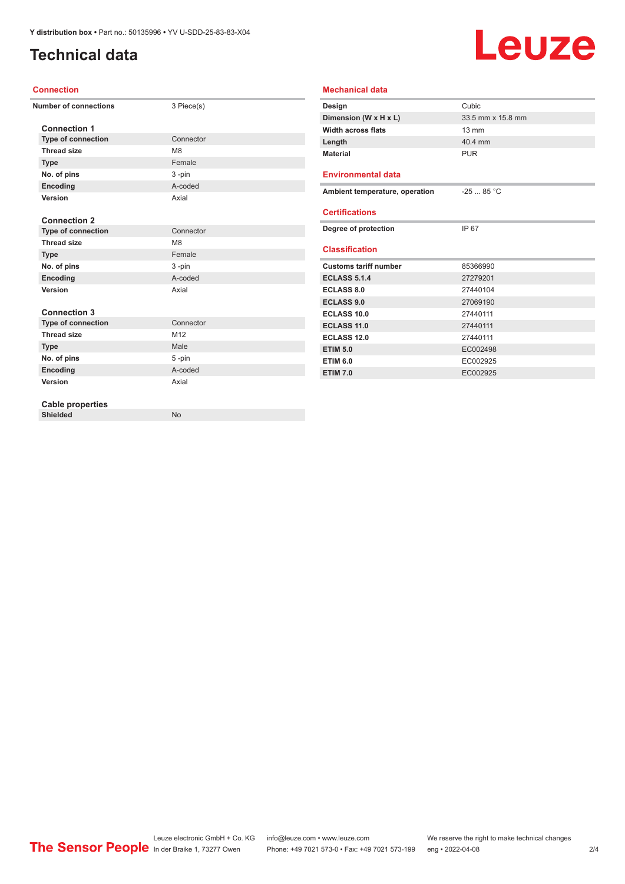## <span id="page-1-0"></span>**Technical data**

# Leuze

#### **Connection**

| <b>Number of connections</b> | 3 Piece(s)      |
|------------------------------|-----------------|
| <b>Connection 1</b>          |                 |
| <b>Type of connection</b>    | Connector       |
| <b>Thread size</b>           | M <sub>8</sub>  |
| <b>Type</b>                  | Female          |
| No. of pins                  | 3-pin           |
| Encoding                     | A-coded         |
| Version                      | Axial           |
|                              |                 |
| <b>Connection 2</b>          |                 |
| <b>Type of connection</b>    | Connector       |
| <b>Thread size</b>           | M <sub>8</sub>  |
| <b>Type</b>                  | Female          |
| No. of pins                  | 3-pin           |
| Encoding                     | A-coded         |
| Version                      | Axial           |
|                              |                 |
| <b>Connection 3</b>          |                 |
| <b>Type of connection</b>    | Connector       |
| <b>Thread size</b>           | M <sub>12</sub> |
| <b>Type</b>                  | Male            |
| No. of pins                  | $5 - pin$       |
| Encoding                     | A-coded         |
| Version                      | Axial           |
|                              |                 |
| <b>Cable properties</b>      |                 |
| <b>Shielded</b>              | <b>No</b>       |
|                              |                 |

| <b>Mechanical data</b>         |                   |  |  |  |
|--------------------------------|-------------------|--|--|--|
| Design                         | Cubic             |  |  |  |
| Dimension (W x H x L)          | 33.5 mm x 15.8 mm |  |  |  |
| <b>Width across flats</b>      | $13 \text{ mm}$   |  |  |  |
| Length                         | 40.4 mm           |  |  |  |
| <b>Material</b>                | PUR               |  |  |  |
| <b>Environmental data</b>      |                   |  |  |  |
| Ambient temperature, operation | $-2585 °C$        |  |  |  |
| <b>Certifications</b>          |                   |  |  |  |
| Degree of protection           | IP 67             |  |  |  |
| <b>Classification</b>          |                   |  |  |  |
| <b>Customs tariff number</b>   | 85366990          |  |  |  |
| <b>ECLASS 5.1.4</b>            | 27279201          |  |  |  |
| <b>ECLASS 8.0</b>              | 27440104          |  |  |  |
| <b>ECLASS 9.0</b>              | 27069190          |  |  |  |
| ECLASS 10.0                    | 27440111          |  |  |  |
| ECLASS 11.0                    | 27440111          |  |  |  |
| <b>ECLASS 12.0</b>             | 27440111          |  |  |  |
| <b>ETIM 5.0</b>                | EC002498          |  |  |  |
| <b>ETIM 6.0</b>                | EC002925          |  |  |  |
| <b>ETIM 7.0</b>                | EC002925          |  |  |  |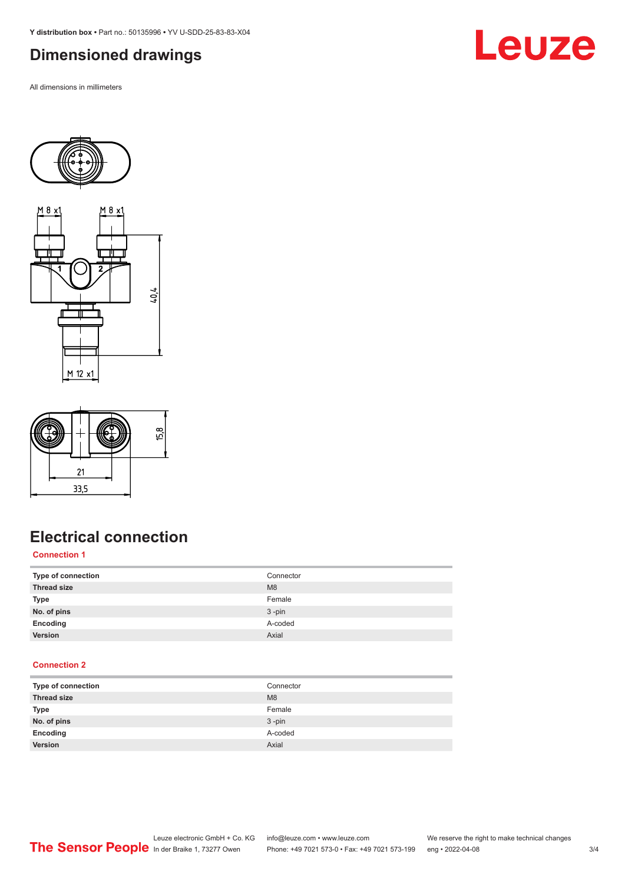<span id="page-2-0"></span>**Y distribution box •** Part no.: 50135996 **•** YV U-SDD-25-83-83-X04

### **Dimensioned drawings**

All dimensions in millimeters









## **Electrical connection**

#### **Connection 1**

| Type of connection | Connector      |
|--------------------|----------------|
| <b>Thread size</b> | M <sub>8</sub> |
| <b>Type</b>        | Female         |
| No. of pins        | $3 - pin$      |
| Encoding           | A-coded        |
| Version            | Axial          |

#### **Connection 2**

| Type of connection | Connector |
|--------------------|-----------|
| <b>Thread size</b> | M8        |
| <b>Type</b>        | Female    |
| No. of pins        | $3 - pin$ |
| Encoding           | A-coded   |
| Version            | Axial     |